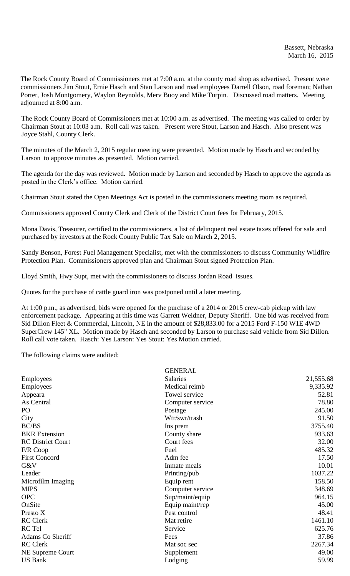The Rock County Board of Commissioners met at 7:00 a.m. at the county road shop as advertised. Present were commissioners Jim Stout, Ernie Hasch and Stan Larson and road employees Darrell Olson, road foreman; Nathan Porter, Josh Montgomery, Waylon Reynolds, Merv Buoy and Mike Turpin. Discussed road matters. Meeting adjourned at 8:00 a.m.

The Rock County Board of Commissioners met at 10:00 a.m. as advertised. The meeting was called to order by Chairman Stout at 10:03 a.m. Roll call was taken. Present were Stout, Larson and Hasch. Also present was Joyce Stahl, County Clerk.

The minutes of the March 2, 2015 regular meeting were presented. Motion made by Hasch and seconded by Larson to approve minutes as presented. Motion carried.

The agenda for the day was reviewed. Motion made by Larson and seconded by Hasch to approve the agenda as posted in the Clerk's office. Motion carried.

Chairman Stout stated the Open Meetings Act is posted in the commissioners meeting room as required.

Commissioners approved County Clerk and Clerk of the District Court fees for February, 2015.

Mona Davis, Treasurer, certified to the commissioners, a list of delinquent real estate taxes offered for sale and purchased by investors at the Rock County Public Tax Sale on March 2, 2015.

Sandy Benson, Forest Fuel Management Specialist, met with the commissioners to discuss Community Wildfire Protection Plan. Commissioners approved plan and Chairman Stout signed Protection Plan.

Lloyd Smith, Hwy Supt, met with the commissioners to discuss Jordan Road issues.

Quotes for the purchase of cattle guard iron was postponed until a later meeting.

At 1:00 p.m., as advertised, bids were opened for the purchase of a 2014 or 2015 crew-cab pickup with law enforcement package. Appearing at this time was Garrett Weidner, Deputy Sheriff. One bid was received from Sid Dillon Fleet & Commercial, Lincoln, NE in the amount of \$28,833.00 for a 2015 Ford F-150 W1E 4WD SuperCrew 145" XL. Motion made by Hasch and seconded by Larson to purchase said vehicle from Sid Dillon. Roll call vote taken. Hasch: Yes Larson: Yes Stout: Yes Motion carried.

The following claims were audited:

|                          | <b>GENERAL</b>   |           |
|--------------------------|------------------|-----------|
| Employees                | <b>Salaries</b>  | 21,555.68 |
| Employees                | Medical reimb    | 9,335.92  |
| Appeara                  | Towel service    | 52.81     |
| As Central               | Computer service | 78.80     |
| PO                       | Postage          | 245.00    |
| City                     | Wtr/swr/trash    | 91.50     |
| BC/BS                    | Ins prem         | 3755.40   |
| <b>BKR</b> Extension     | County share     | 933.63    |
| <b>RC District Court</b> | Court fees       | 32.00     |
| F/R Coop                 | Fuel             | 485.32    |
| <b>First Concord</b>     | Adm fee          | 17.50     |
| G&V                      | Inmate meals     | 10.01     |
| Leader                   | Printing/pub     | 1037.22   |
| Microfilm Imaging        | Equip rent       | 158.50    |
| <b>MIPS</b>              | Computer service | 348.69    |
| <b>OPC</b>               | Sup/maint/equip  | 964.15    |
| OnSite                   | Equip maint/rep  | 45.00     |
| Presto X                 | Pest control     | 48.41     |
| <b>RC</b> Clerk          | Mat retire       | 1461.10   |
| RC Tel                   | Service          | 625.76    |
| Adams Co Sheriff         | Fees             | 37.86     |
| <b>RC</b> Clerk          | Mat soc sec      | 2267.34   |
| <b>NE Supreme Court</b>  | Supplement       | 49.00     |
| <b>US Bank</b>           | Lodging          | 59.99     |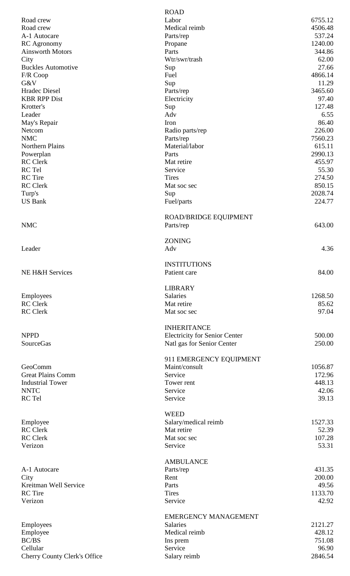|                                       | <b>ROAD</b>                          |                  |
|---------------------------------------|--------------------------------------|------------------|
| Road crew                             | Labor                                | 6755.12          |
| Road crew                             | Medical reimb                        | 4506.48          |
| A-1 Autocare                          | Parts/rep                            | 537.24           |
| <b>RC</b> Agronomy                    | Propane                              | 1240.00          |
| <b>Ainsworth Motors</b>               | Parts                                | 344.86           |
| City                                  | Wtr/swr/trash                        | 62.00            |
| <b>Buckles Automotive</b><br>F/R Coop | Sup<br>Fuel                          | 27.66<br>4866.14 |
| G&V                                   | Sup                                  | 11.29            |
| <b>Hradec Diesel</b>                  | Parts/rep                            | 3465.60          |
| <b>KBR RPP Dist</b>                   | Electricity                          | 97.40            |
| Krotter's                             | Sup                                  | 127.48           |
| Leader                                | Adv                                  | 6.55             |
| May's Repair                          | Iron                                 | 86.40            |
| Netcom                                | Radio parts/rep                      | 226.00           |
| <b>NMC</b>                            | Parts/rep                            | 7560.23          |
| Northern Plains                       | Material/labor                       | 615.11           |
| Powerplan                             | Parts                                | 2990.13          |
| <b>RC</b> Clerk                       | Mat retire                           | 455.97           |
| RC Tel                                | Service                              | 55.30            |
| <b>RC</b> Tire                        | <b>Tires</b>                         | 274.50           |
| <b>RC</b> Clerk                       | Mat soc sec                          | 850.15           |
| Turp's                                | Sup                                  | 2028.74          |
| <b>US Bank</b>                        | Fuel/parts                           | 224.77           |
|                                       | <b>ROAD/BRIDGE EQUIPMENT</b>         |                  |
| <b>NMC</b>                            | Parts/rep                            | 643.00           |
|                                       |                                      |                  |
|                                       | <b>ZONING</b>                        |                  |
| Leader                                | Adv                                  | 4.36             |
|                                       |                                      |                  |
|                                       | <b>INSTITUTIONS</b>                  |                  |
| NE H&H Services                       | Patient care                         | 84.00            |
|                                       |                                      |                  |
|                                       | <b>LIBRARY</b>                       |                  |
| Employees                             | Salaries                             | 1268.50          |
| <b>RC</b> Clerk                       | Mat retire                           | 85.62            |
| <b>RC</b> Clerk                       | Mat soc sec                          | 97.04            |
|                                       |                                      |                  |
|                                       | <b>INHERITANCE</b>                   |                  |
| <b>NPPD</b>                           | <b>Electricity for Senior Center</b> | 500.00           |
| <b>SourceGas</b>                      | Natl gas for Senior Center           | 250.00           |
|                                       | 911 EMERGENCY EQUIPMENT              |                  |
| GeoComm                               | Maint/consult                        | 1056.87          |
| <b>Great Plains Comm</b>              | Service                              | 172.96           |
| <b>Industrial Tower</b>               | Tower rent                           | 448.13           |
| <b>NNTC</b>                           | Service                              | 42.06            |
| RC Tel                                | Service                              | 39.13            |
|                                       |                                      |                  |
|                                       | <b>WEED</b>                          |                  |
| Employee                              | Salary/medical reimb                 | 1527.33          |
| <b>RC</b> Clerk                       | Mat retire                           | 52.39            |
| <b>RC</b> Clerk                       | Mat soc sec                          | 107.28           |
| Verizon                               | Service                              | 53.31            |
|                                       |                                      |                  |
|                                       | <b>AMBULANCE</b>                     |                  |
| A-1 Autocare                          | Parts/rep                            | 431.35           |
| City<br>Kreitman Well Service         | Rent<br>Parts                        | 200.00<br>49.56  |
| <b>RC</b> Tire                        | <b>Tires</b>                         | 1133.70          |
| Verizon                               | Service                              | 42.92            |
|                                       |                                      |                  |
|                                       | <b>EMERGENCY MANAGEMENT</b>          |                  |
| Employees                             | Salaries                             | 2121.27          |
| Employee                              | Medical reimb                        | 428.12           |
| BC/BS                                 | Ins prem                             | 751.08           |
| Cellular                              | Service                              | 96.90            |
| <b>Cherry County Clerk's Office</b>   | Salary reimb                         | 2846.54          |